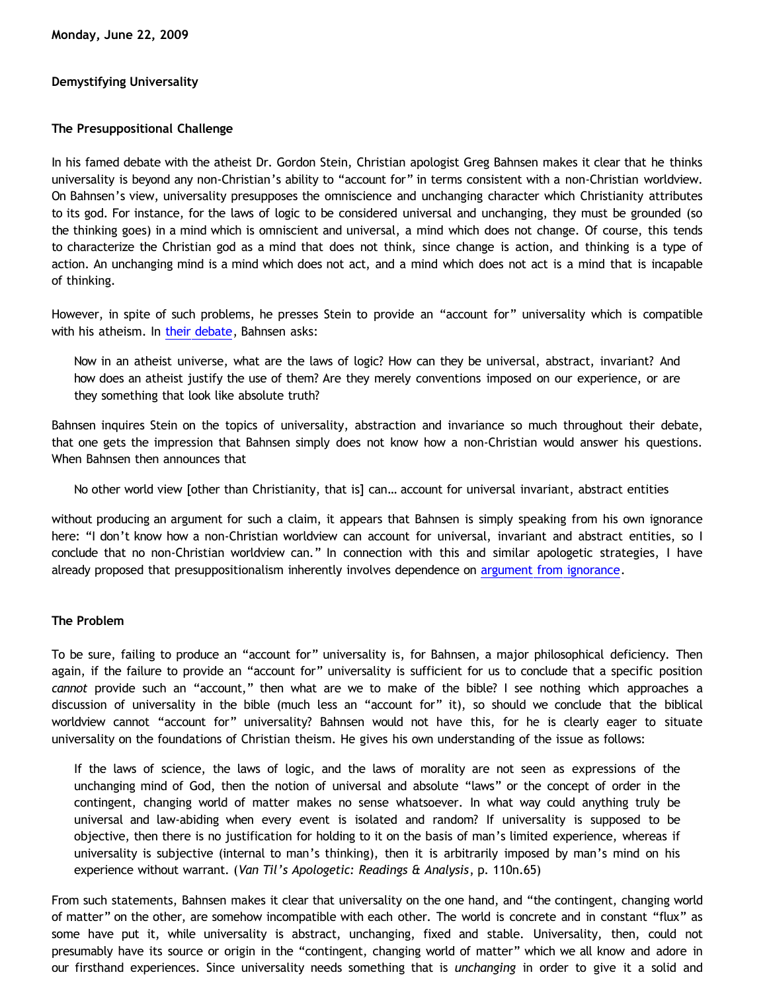## **Demystifying Universality**

# **The Presuppositional Challenge**

In his famed debate with the atheist Dr. Gordon Stein, Christian apologist Greg Bahnsen makes it clear that he thinks universality is beyond any non-Christian's ability to "account for" in terms consistent with a non-Christian worldview. On Bahnsen's view, universality presupposes the omniscience and unchanging character which Christianity attributes to its god. For instance, for the laws of logic to be considered universal and unchanging, they must be grounded (so the thinking goes) in a mind which is omniscient and universal, a mind which does not change. Of course, this tends to characterize the Christian god as a mind that does not think, since change is action, and thinking is a type of action. An unchanging mind is a mind which does not act, and a mind which does not act is a mind that is incapable of thinking.

However, in spite of such problems, he presses Stein to provide an "account for" universality which is compatible with his atheism. In [their debate](http://www.bellevuechristian.org/faculty/dribera/htdocs/PDFs/Apol_Bahnsen_Stein_Debate_Transcript.pdf), Bahnsen asks:

Now in an atheist universe, what are the laws of logic? How can they be universal, abstract, invariant? And how does an atheist justify the use of them? Are they merely conventions imposed on our experience, or are they something that look like absolute truth?

Bahnsen inquires Stein on the topics of universality, abstraction and invariance so much throughout their debate, that one gets the impression that Bahnsen simply does not know how a non-Christian would answer his questions. When Bahnsen then announces that

No other world view [other than Christianity, that is] can… account for universal invariant, abstract entities

without producing an argument for such a claim, it appears that Bahnsen is simply speaking from his own ignorance here: "I don't know how a non-Christian worldview can account for universal, invariant and abstract entities, so I conclude that no non-Christian worldview can." In connection with this and similar apologetic strategies, I have already proposed that presuppositionalism inherently involves dependence on [argument from ignorance.](http://bahnsenburner.blogspot.com/2006/02/presuppositionalism-and-argument-from.html)

## **The Problem**

To be sure, failing to produce an "account for" universality is, for Bahnsen, a major philosophical deficiency. Then again, if the failure to provide an "account for" universality is sufficient for us to conclude that a specific position *cannot* provide such an "account," then what are we to make of the bible? I see nothing which approaches a discussion of universality in the bible (much less an "account for" it), so should we conclude that the biblical worldview cannot "account for" universality? Bahnsen would not have this, for he is clearly eager to situate universality on the foundations of Christian theism. He gives his own understanding of the issue as follows:

If the laws of science, the laws of logic, and the laws of morality are not seen as expressions of the unchanging mind of God, then the notion of universal and absolute "laws" or the concept of order in the contingent, changing world of matter makes no sense whatsoever. In what way could anything truly be universal and law-abiding when every event is isolated and random? If universality is supposed to be objective, then there is no justification for holding to it on the basis of man's limited experience, whereas if universality is subjective (internal to man's thinking), then it is arbitrarily imposed by man's mind on his experience without warrant. (*Van Til's Apologetic: Readings & Analysis*, p. 110n.65)

From such statements, Bahnsen makes it clear that universality on the one hand, and "the contingent, changing world of matter" on the other, are somehow incompatible with each other. The world is concrete and in constant "flux" as some have put it, while universality is abstract, unchanging, fixed and stable. Universality, then, could not presumably have its source or origin in the "contingent, changing world of matter" which we all know and adore in our firsthand experiences. Since universality needs something that is *unchanging* in order to give it a solid and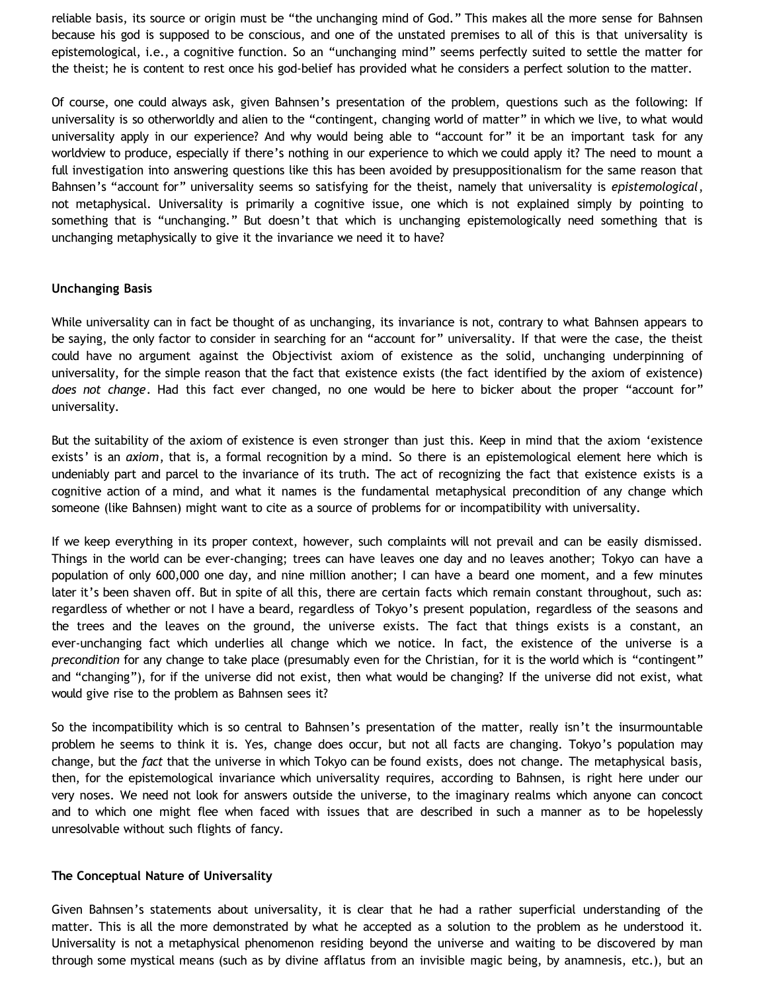reliable basis, its source or origin must be "the unchanging mind of God." This makes all the more sense for Bahnsen because his god is supposed to be conscious, and one of the unstated premises to all of this is that universality is epistemological, i.e., a cognitive function. So an "unchanging mind" seems perfectly suited to settle the matter for the theist; he is content to rest once his god-belief has provided what he considers a perfect solution to the matter.

Of course, one could always ask, given Bahnsen's presentation of the problem, questions such as the following: If universality is so otherworldly and alien to the "contingent, changing world of matter" in which we live, to what would universality apply in our experience? And why would being able to "account for" it be an important task for any worldview to produce, especially if there's nothing in our experience to which we could apply it? The need to mount a full investigation into answering questions like this has been avoided by presuppositionalism for the same reason that Bahnsen's "account for" universality seems so satisfying for the theist, namely that universality is *epistemological*, not metaphysical. Universality is primarily a cognitive issue, one which is not explained simply by pointing to something that is "unchanging." But doesn't that which is unchanging epistemologically need something that is unchanging metaphysically to give it the invariance we need it to have?

### **Unchanging Basis**

While universality can in fact be thought of as unchanging, its invariance is not, contrary to what Bahnsen appears to be saying, the only factor to consider in searching for an "account for" universality. If that were the case, the theist could have no argument against the Objectivist axiom of existence as the solid, unchanging underpinning of universality, for the simple reason that the fact that existence exists (the fact identified by the axiom of existence) *does not change*. Had this fact ever changed, no one would be here to bicker about the proper "account for" universality.

But the suitability of the axiom of existence is even stronger than just this. Keep in mind that the axiom 'existence exists' is an *axiom*, that is, a formal recognition by a mind. So there is an epistemological element here which is undeniably part and parcel to the invariance of its truth. The act of recognizing the fact that existence exists is a cognitive action of a mind, and what it names is the fundamental metaphysical precondition of any change which someone (like Bahnsen) might want to cite as a source of problems for or incompatibility with universality.

If we keep everything in its proper context, however, such complaints will not prevail and can be easily dismissed. Things in the world can be ever-changing; trees can have leaves one day and no leaves another; Tokyo can have a population of only 600,000 one day, and nine million another; I can have a beard one moment, and a few minutes later it's been shaven off. But in spite of all this, there are certain facts which remain constant throughout, such as: regardless of whether or not I have a beard, regardless of Tokyo's present population, regardless of the seasons and the trees and the leaves on the ground, the universe exists. The fact that things exists is a constant, an ever-unchanging fact which underlies all change which we notice. In fact, the existence of the universe is a *precondition* for any change to take place (presumably even for the Christian, for it is the world which is "contingent" and "changing"), for if the universe did not exist, then what would be changing? If the universe did not exist, what would give rise to the problem as Bahnsen sees it?

So the incompatibility which is so central to Bahnsen's presentation of the matter, really isn't the insurmountable problem he seems to think it is. Yes, change does occur, but not all facts are changing. Tokyo's population may change, but the *fact* that the universe in which Tokyo can be found exists, does not change. The metaphysical basis, then, for the epistemological invariance which universality requires, according to Bahnsen, is right here under our very noses. We need not look for answers outside the universe, to the imaginary realms which anyone can concoct and to which one might flee when faced with issues that are described in such a manner as to be hopelessly unresolvable without such flights of fancy.

#### **The Conceptual Nature of Universality**

Given Bahnsen's statements about universality, it is clear that he had a rather superficial understanding of the matter. This is all the more demonstrated by what he accepted as a solution to the problem as he understood it. Universality is not a metaphysical phenomenon residing beyond the universe and waiting to be discovered by man through some mystical means (such as by divine afflatus from an invisible magic being, by anamnesis, etc.), but an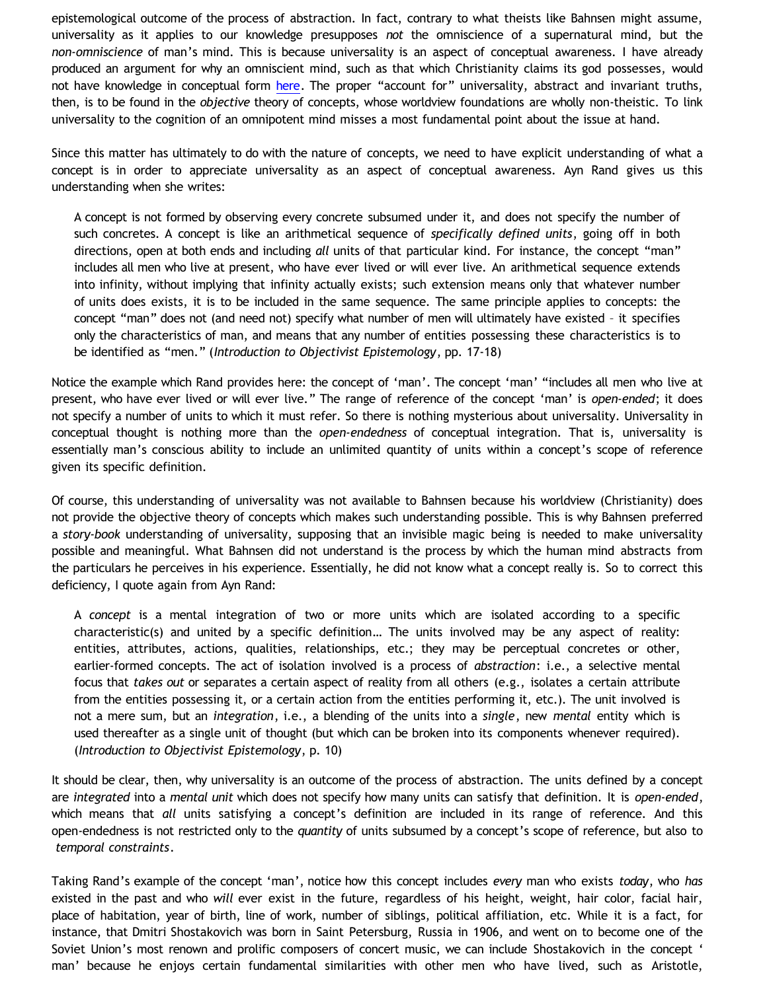epistemological outcome of the process of abstraction. In fact, contrary to what theists like Bahnsen might assume, universality as it applies to our knowledge presupposes *not* the omniscience of a supernatural mind, but the *non-omniscience* of man's mind. This is because universality is an aspect of conceptual awareness. I have already produced an argument for why an omniscient mind, such as that which Christianity claims its god possesses, would not have knowledge in conceptual form [here](http://bahnsenburner.blogspot.com/2007/04/would-omniscient-mind-have-knowledge-in.html). The proper "account for" universality, abstract and invariant truths, then, is to be found in the *objective* theory of concepts, whose worldview foundations are wholly non-theistic. To link universality to the cognition of an omnipotent mind misses a most fundamental point about the issue at hand.

Since this matter has ultimately to do with the nature of concepts, we need to have explicit understanding of what a concept is in order to appreciate universality as an aspect of conceptual awareness. Ayn Rand gives us this understanding when she writes:

A concept is not formed by observing every concrete subsumed under it, and does not specify the number of such concretes. A concept is like an arithmetical sequence of *specifically defined units*, going off in both directions, open at both ends and including *all* units of that particular kind. For instance, the concept "man" includes all men who live at present, who have ever lived or will ever live. An arithmetical sequence extends into infinity, without implying that infinity actually exists; such extension means only that whatever number of units does exists, it is to be included in the same sequence. The same principle applies to concepts: the concept "man" does not (and need not) specify what number of men will ultimately have existed – it specifies only the characteristics of man, and means that any number of entities possessing these characteristics is to be identified as "men." (*Introduction to Objectivist Epistemology*, pp. 17-18)

Notice the example which Rand provides here: the concept of 'man'. The concept 'man' "includes all men who live at present, who have ever lived or will ever live." The range of reference of the concept 'man' is *open-ended*; it does not specify a number of units to which it must refer. So there is nothing mysterious about universality. Universality in conceptual thought is nothing more than the *open-endedness* of conceptual integration. That is, universality is essentially man's conscious ability to include an unlimited quantity of units within a concept's scope of reference given its specific definition.

Of course, this understanding of universality was not available to Bahnsen because his worldview (Christianity) does not provide the objective theory of concepts which makes such understanding possible. This is why Bahnsen preferred a *story-book* understanding of universality, supposing that an invisible magic being is needed to make universality possible and meaningful. What Bahnsen did not understand is the process by which the human mind abstracts from the particulars he perceives in his experience. Essentially, he did not know what a concept really is. So to correct this deficiency, I quote again from Ayn Rand:

A *concept* is a mental integration of two or more units which are isolated according to a specific characteristic(s) and united by a specific definition… The units involved may be any aspect of reality: entities, attributes, actions, qualities, relationships, etc.; they may be perceptual concretes or other, earlier-formed concepts. The act of isolation involved is a process of *abstraction*: i.e., a selective mental focus that *takes out* or separates a certain aspect of reality from all others (e.g., isolates a certain attribute from the entities possessing it, or a certain action from the entities performing it, etc.). The unit involved is not a mere sum, but an *integration*, i.e., a blending of the units into a *single*, new *mental* entity which is used thereafter as a single unit of thought (but which can be broken into its components whenever required). (*Introduction to Objectivist Epistemology*, p. 10)

It should be clear, then, why universality is an outcome of the process of abstraction. The units defined by a concept are *integrated* into a *mental unit* which does not specify how many units can satisfy that definition. It is *open-ended*, which means that *all* units satisfying a concept's definition are included in its range of reference. And this open-endedness is not restricted only to the *quantity* of units subsumed by a concept's scope of reference, but also to *temporal constraints*.

Taking Rand's example of the concept 'man', notice how this concept includes *every* man who exists *today*, who *has* existed in the past and who *will* ever exist in the future, regardless of his height, weight, hair color, facial hair, place of habitation, year of birth, line of work, number of siblings, political affiliation, etc. While it is a fact, for instance, that Dmitri Shostakovich was born in Saint Petersburg, Russia in 1906, and went on to become one of the Soviet Union's most renown and prolific composers of concert music, we can include Shostakovich in the concept ' man' because he enjoys certain fundamental similarities with other men who have lived, such as Aristotle,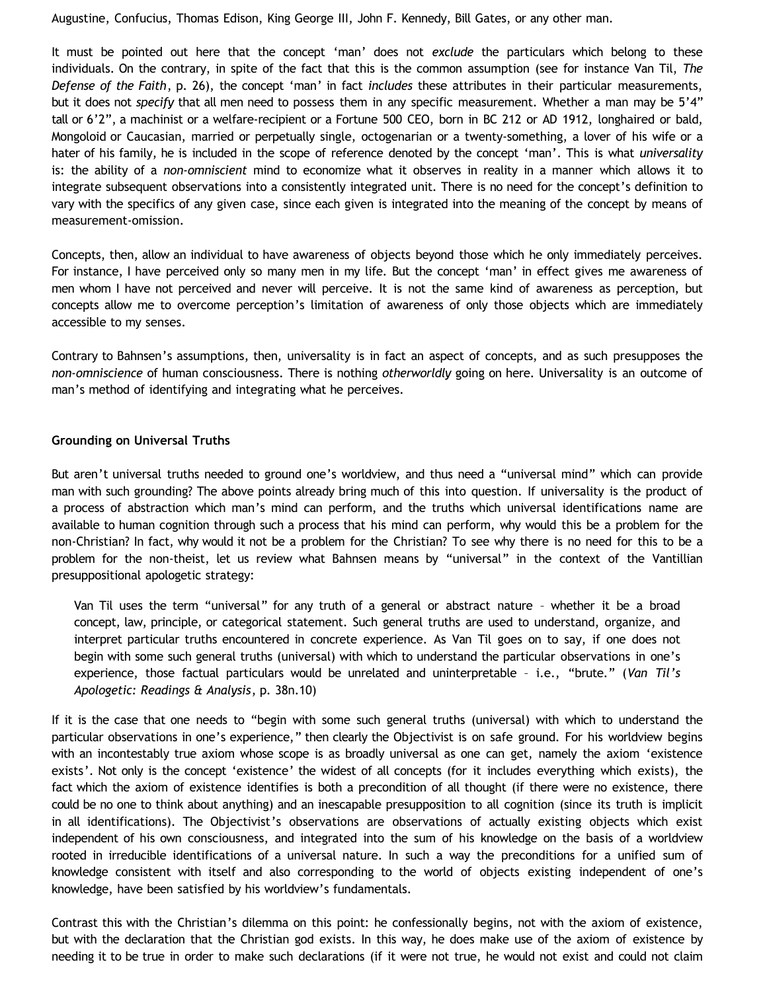Augustine, Confucius, Thomas Edison, King George III, John F. Kennedy, Bill Gates, or any other man.

It must be pointed out here that the concept 'man' does not *exclude* the particulars which belong to these individuals. On the contrary, in spite of the fact that this is the common assumption (see for instance Van Til, *The Defense of the Faith*, p. 26), the concept 'man' in fact *includes* these attributes in their particular measurements, but it does not *specify* that all men need to possess them in any specific measurement. Whether a man may be 5'4" tall or 6'2", a machinist or a welfare-recipient or a Fortune 500 CEO, born in BC 212 or AD 1912, longhaired or bald, Mongoloid or Caucasian, married or perpetually single, octogenarian or a twenty-something, a lover of his wife or a hater of his family, he is included in the scope of reference denoted by the concept 'man'. This is what *universality* is: the ability of a *non-omniscient* mind to economize what it observes in reality in a manner which allows it to integrate subsequent observations into a consistently integrated unit. There is no need for the concept's definition to vary with the specifics of any given case, since each given is integrated into the meaning of the concept by means of measurement-omission.

Concepts, then, allow an individual to have awareness of objects beyond those which he only immediately perceives. For instance, I have perceived only so many men in my life. But the concept 'man' in effect gives me awareness of men whom I have not perceived and never will perceive. It is not the same kind of awareness as perception, but concepts allow me to overcome perception's limitation of awareness of only those objects which are immediately accessible to my senses.

Contrary to Bahnsen's assumptions, then, universality is in fact an aspect of concepts, and as such presupposes the *non-omniscience* of human consciousness. There is nothing *otherworldly* going on here. Universality is an outcome of man's method of identifying and integrating what he perceives.

### **Grounding on Universal Truths**

But aren't universal truths needed to ground one's worldview, and thus need a "universal mind" which can provide man with such grounding? The above points already bring much of this into question. If universality is the product of a process of abstraction which man's mind can perform, and the truths which universal identifications name are available to human cognition through such a process that his mind can perform, why would this be a problem for the non-Christian? In fact, why would it not be a problem for the Christian? To see why there is no need for this to be a problem for the non-theist, let us review what Bahnsen means by "universal" in the context of the Vantillian presuppositional apologetic strategy:

Van Til uses the term "universal" for any truth of a general or abstract nature – whether it be a broad concept, law, principle, or categorical statement. Such general truths are used to understand, organize, and interpret particular truths encountered in concrete experience. As Van Til goes on to say, if one does not begin with some such general truths (universal) with which to understand the particular observations in one's experience, those factual particulars would be unrelated and uninterpretable – i.e., "brute." (*Van Til's Apologetic: Readings & Analysis*, p. 38n.10)

If it is the case that one needs to "begin with some such general truths (universal) with which to understand the particular observations in one's experience," then clearly the Objectivist is on safe ground. For his worldview begins with an incontestably true axiom whose scope is as broadly universal as one can get, namely the axiom 'existence exists'. Not only is the concept 'existence' the widest of all concepts (for it includes everything which exists), the fact which the axiom of existence identifies is both a precondition of all thought (if there were no existence, there could be no one to think about anything) and an inescapable presupposition to all cognition (since its truth is implicit in all identifications). The Objectivist's observations are observations of actually existing objects which exist independent of his own consciousness, and integrated into the sum of his knowledge on the basis of a worldview rooted in irreducible identifications of a universal nature. In such a way the preconditions for a unified sum of knowledge consistent with itself and also corresponding to the world of objects existing independent of one's knowledge, have been satisfied by his worldview's fundamentals.

Contrast this with the Christian's dilemma on this point: he confessionally begins, not with the axiom of existence, but with the declaration that the Christian god exists. In this way, he does make use of the axiom of existence by needing it to be true in order to make such declarations (if it were not true, he would not exist and could not claim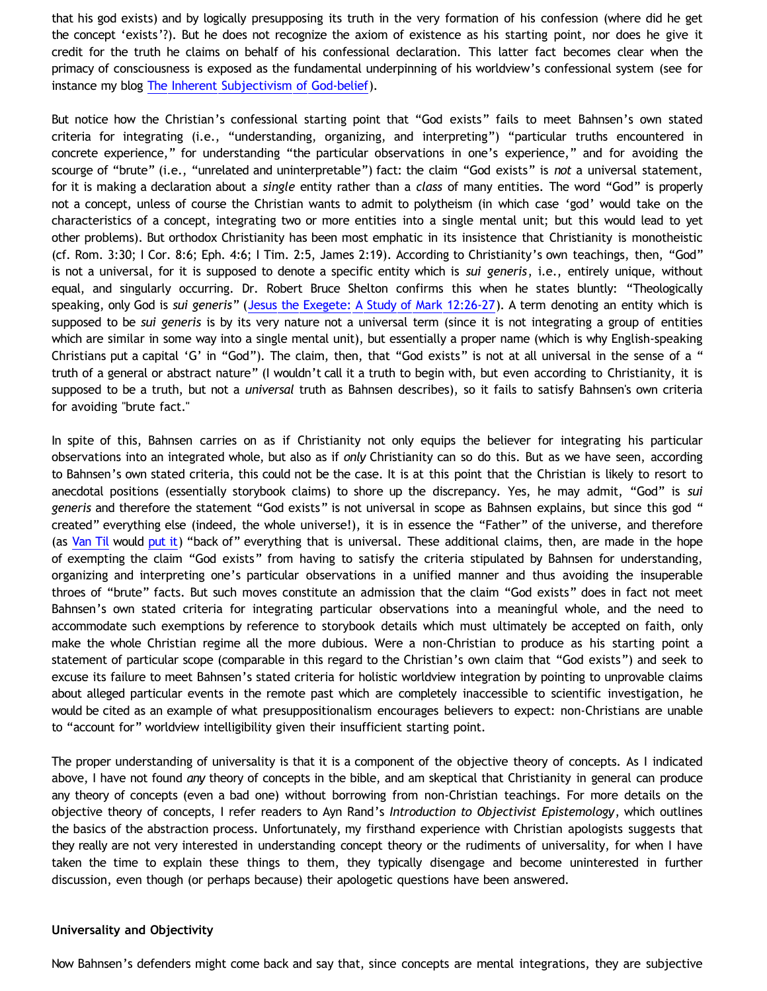that his god exists) and by logically presupposing its truth in the very formation of his confession (where did he get the concept 'exists'?). But he does not recognize the axiom of existence as his starting point, nor does he give it credit for the truth he claims on behalf of his confessional declaration. This latter fact becomes clear when the primacy of consciousness is exposed as the fundamental underpinning of his worldview's confessional system (see for instance my blog [The Inherent Subjectivism of God-belief\)](http://bahnsenburner.blogspot.com/2008/12/inherent-subjectivism-of-god-belief.html).

But notice how the Christian's confessional starting point that "God exists" fails to meet Bahnsen's own stated criteria for integrating (i.e., "understanding, organizing, and interpreting") "particular truths encountered in concrete experience," for understanding "the particular observations in one's experience," and for avoiding the scourge of "brute" (i.e., "unrelated and uninterpretable") fact: the claim "God exists" is *not* a universal statement, for it is making a declaration about a *single* entity rather than a *class* of many entities. The word "God" is properly not a concept, unless of course the Christian wants to admit to polytheism (in which case 'god' would take on the characteristics of a concept, integrating two or more entities into a single mental unit; but this would lead to yet other problems). But orthodox Christianity has been most emphatic in its insistence that Christianity is monotheistic (cf. Rom. 3:30; I Cor. 8:6; Eph. 4:6; I Tim. 2:5, James 2:19). According to Christianity's own teachings, then, "God" is not a universal, for it is supposed to denote a specific entity which is *sui generis*, i.e., entirely unique, without equal, and singularly occurring. Dr. Robert Bruce Shelton confirms this when he states bluntly: "Theologically speaking, only God is *sui generis*" ([Jesus the Exegete: A Study of Mark 12:26-27](http://rbsp.info/WTS/NT941-ii.pdf)). A term denoting an entity which is supposed to be *sui generis* is by its very nature not a universal term (since it is not integrating a group of entities which are similar in some way into a single mental unit), but essentially a proper name (which is why English-speaking Christians put a capital 'G' in "God"). The claim, then, that "God exists" is not at all universal in the sense of a " truth of a general or abstract nature" (I wouldn't call it a truth to begin with, but even according to Christianity, it is supposed to be a truth, but not a *universal* truth as Bahnsen describes), so it fails to satisfy Bahnsen's own criteria for avoiding "brute fact."

In spite of this, Bahnsen carries on as if Christianity not only equips the believer for integrating his particular observations into an integrated whole, but also as if *only* Christianity can so do this. But as we have seen, according to Bahnsen's own stated criteria, this could not be the case. It is at this point that the Christian is likely to resort to anecdotal positions (essentially storybook claims) to shore up the discrepancy. Yes, he may admit, "God" is *sui generis* and therefore the statement "God exists" is not universal in scope as Bahnsen explains, but since this god " created" everything else (indeed, the whole universe!), it is in essence the "Father" of the universe, and therefore (as [Van Til](http://www.reformed.org/apologetics/index.html?mainframe=/apologetics/why_I_believe_cvt.html) would [put it](http://bahnsenburner.blogspot.com/2008/06/faith-as-hope-in-imaginary.html)) "back of" everything that is universal. These additional claims, then, are made in the hope of exempting the claim "God exists" from having to satisfy the criteria stipulated by Bahnsen for understanding, organizing and interpreting one's particular observations in a unified manner and thus avoiding the insuperable throes of "brute" facts. But such moves constitute an admission that the claim "God exists" does in fact not meet Bahnsen's own stated criteria for integrating particular observations into a meaningful whole, and the need to accommodate such exemptions by reference to storybook details which must ultimately be accepted on faith, only make the whole Christian regime all the more dubious. Were a non-Christian to produce as his starting point a statement of particular scope (comparable in this regard to the Christian's own claim that "God exists") and seek to excuse its failure to meet Bahnsen's stated criteria for holistic worldview integration by pointing to unprovable claims about alleged particular events in the remote past which are completely inaccessible to scientific investigation, he would be cited as an example of what presuppositionalism encourages believers to expect: non-Christians are unable to "account for" worldview intelligibility given their insufficient starting point.

The proper understanding of universality is that it is a component of the objective theory of concepts. As I indicated above, I have not found *any* theory of concepts in the bible, and am skeptical that Christianity in general can produce any theory of concepts (even a bad one) without borrowing from non-Christian teachings. For more details on the objective theory of concepts, I refer readers to Ayn Rand's *Introduction to Objectivist Epistemology*, which outlines the basics of the abstraction process. Unfortunately, my firsthand experience with Christian apologists suggests that they really are not very interested in understanding concept theory or the rudiments of universality, for when I have taken the time to explain these things to them, they typically disengage and become uninterested in further discussion, even though (or perhaps because) their apologetic questions have been answered.

#### **Universality and Objectivity**

Now Bahnsen's defenders might come back and say that, since concepts are mental integrations, they are subjective